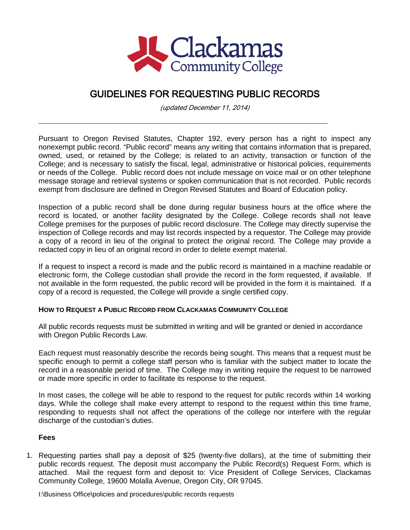

## GUIDELINES FOR REQUESTING PUBLIC RECORDS

(updated December 11, 2014)

Pursuant to Oregon Revised Statutes, Chapter 192, every person has a right to inspect any nonexempt public record. "Public record" means any writing that contains information that is prepared, owned, used, or retained by the College; is related to an activity, transaction or function of the College; and is necessary to satisfy the fiscal, legal, administrative or historical policies, requirements or needs of the College. Public record does not include message on voice mail or on other telephone message storage and retrieval systems or spoken communication that is not recorded. Public records exempt from disclosure are defined in Oregon Revised Statutes and Board of Education policy.

Inspection of a public record shall be done during regular business hours at the office where the record is located, or another facility designated by the College. College records shall not leave College premises for the purposes of public record disclosure. The College may directly supervise the inspection of College records and may list records inspected by a requestor. The College may provide a copy of a record in lieu of the original to protect the original record. The College may provide a redacted copy in lieu of an original record in order to delete exempt material.

If a request to inspect a record is made and the public record is maintained in a machine readable or electronic form, the College custodian shall provide the record in the form requested, if available. If not available in the form requested, the public record will be provided in the form it is maintained. If a copy of a record is requested, the College will provide a single certified copy.

## **HOW TO REQUEST A PUBLIC RECORD FROM CLACKAMAS COMMUNITY COLLEGE**

All public records requests must be submitted in writing and will be granted or denied in accordance with Oregon Public Records Law.

Each request must reasonably describe the records being sought. This means that a request must be specific enough to permit a college staff person who is familiar with the subject matter to locate the record in a reasonable period of time. The College may in writing require the request to be narrowed or made more specific in order to facilitate its response to the request.

In most cases, the college will be able to respond to the request for public records within 14 working days. While the college shall make every attempt to respond to the request within this time frame, responding to requests shall not affect the operations of the college nor interfere with the regular discharge of the custodian's duties.

## **Fees**

1. Requesting parties shall pay a deposit of \$25 (twenty-five dollars), at the time of submitting their public records request. The deposit must accompany the Public Record(s) Request Form, which is attached. Mail the request form and deposit to: Vice President of College Services, Clackamas Community College, 19600 Molalla Avenue, Oregon City, OR 97045.

I:\Business Office\policies and procedures\public records requests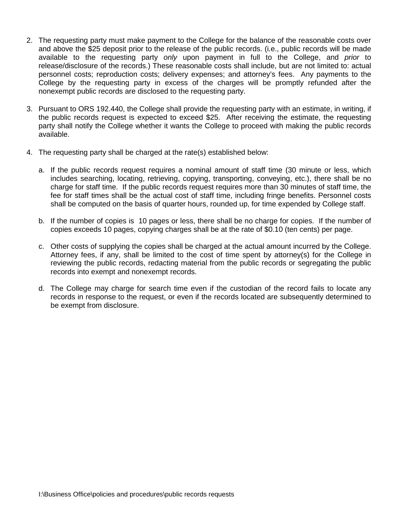- 2. The requesting party must make payment to the College for the balance of the reasonable costs over and above the \$25 deposit prior to the release of the public records. (i.e., public records will be made available to the requesting party *only* upon payment in full to the College, and *prior* to release/disclosure of the records.) These reasonable costs shall include, but are not limited to: actual personnel costs; reproduction costs; delivery expenses; and attorney's fees. Any payments to the College by the requesting party in excess of the charges will be promptly refunded after the nonexempt public records are disclosed to the requesting party.
- 3. Pursuant to ORS 192.440, the College shall provide the requesting party with an estimate, in writing, if the public records request is expected to exceed \$25. After receiving the estimate, the requesting party shall notify the College whether it wants the College to proceed with making the public records available.
- 4. The requesting party shall be charged at the rate(s) established below:
	- a. If the public records request requires a nominal amount of staff time (30 minute or less, which includes searching, locating, retrieving, copying, transporting, conveying, etc.), there shall be no charge for staff time. If the public records request requires more than 30 minutes of staff time, the fee for staff times shall be the actual cost of staff time, including fringe benefits. Personnel costs shall be computed on the basis of quarter hours, rounded up, for time expended by College staff.
	- b. If the number of copies is 10 pages or less, there shall be no charge for copies. If the number of copies exceeds 10 pages, copying charges shall be at the rate of \$0.10 (ten cents) per page.
	- c. Other costs of supplying the copies shall be charged at the actual amount incurred by the College. Attorney fees, if any, shall be limited to the cost of time spent by attorney(s) for the College in reviewing the public records, redacting material from the public records or segregating the public records into exempt and nonexempt records.
	- d. The College may charge for search time even if the custodian of the record fails to locate any records in response to the request, or even if the records located are subsequently determined to be exempt from disclosure.